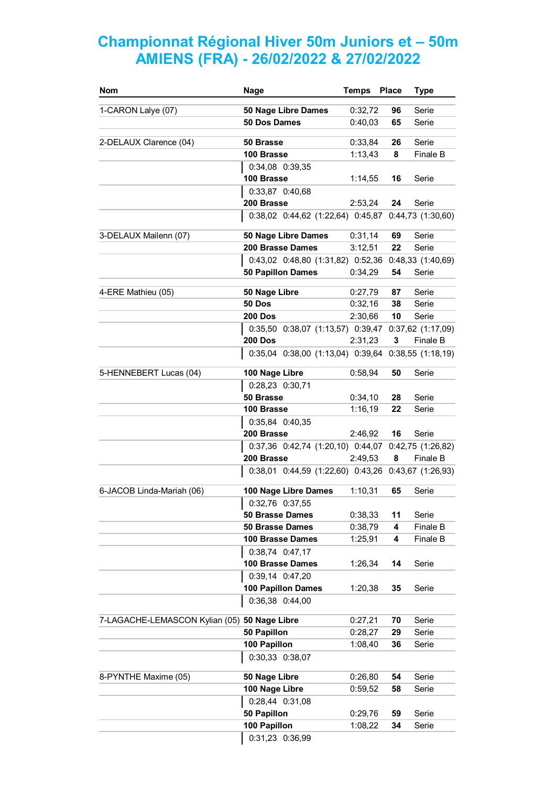## **Championnat Régional Hiver 50m Juniors et – 50m AMIENS (FRA) - 26/02/2022 & 27/02/2022**

| <b>Nom</b>                                   | <b>Nage</b>                                                       | <b>Temps</b> | <b>Place</b> | <b>Type</b>      |
|----------------------------------------------|-------------------------------------------------------------------|--------------|--------------|------------------|
| 1-CARON Lalye (07)                           | 50 Nage Libre Dames                                               | 0:32,72      | 96           | Serie            |
|                                              | 50 Dos Dames                                                      | 0:40,03      | 65           | Serie            |
| 2-DELAUX Clarence (04)                       | 50 Brasse                                                         | 0:33,84      | 26           | Serie            |
|                                              | 100 Brasse                                                        | 1:13,43      | 8            | Finale B         |
|                                              | 0:34,08 0:39,35                                                   |              |              |                  |
|                                              | 100 Brasse                                                        | 1:14,55      | 16           | Serie            |
|                                              | 0:33,87 0:40,68                                                   |              |              |                  |
|                                              | 200 Brasse                                                        | 2:53,24      | 24           | Serie            |
|                                              | 0:38,02 0:44,62 (1:22,64) 0:45,87 0:44,73 (1:30,60)               |              |              |                  |
| 3-DELAUX Mailenn (07)                        | 50 Nage Libre Dames                                               | 0:31,14      | 69           | Serie            |
|                                              | 200 Brasse Dames                                                  | 3:12,51      | 22           | Serie            |
|                                              | 0:43,02 0:48,80 (1:31,82) 0:52,36                                 |              |              | 0:48,33(1:40,69) |
|                                              | <b>50 Papillon Dames</b>                                          | 0:34,29      | 54           | Serie            |
| 4-ERE Mathieu (05)                           | 50 Nage Libre                                                     | 0:27,79      | 87           | Serie            |
|                                              | <b>50 Dos</b>                                                     | 0:32,16      | 38           | Serie            |
|                                              | <b>200 Dos</b>                                                    | 2:30,66      | 10           | Serie            |
|                                              | 0:35,50 0:38,07 (1:13,57) 0:39,47 0:37,62 (1:17,09)               |              |              |                  |
|                                              | <b>200 Dos</b>                                                    | 2:31,23      | 3            | Finale B         |
|                                              | 0:35,04 0:38,00 (1:13,04) 0:39,64 0:38,55 (1:18,19)               |              |              |                  |
| 5-HENNEBERT Lucas (04)                       | 100 Nage Libre                                                    | 0:58,94      | 50           | Serie            |
|                                              | 0:28,23 0:30,71                                                   |              |              |                  |
|                                              | 50 Brasse                                                         | 0:34,10      | 28           | Serie            |
|                                              | 100 Brasse                                                        | 1:16,19      | 22           | Serie            |
|                                              | 0:35,84 0:40,35                                                   |              |              |                  |
|                                              | 200 Brasse                                                        | 2:46,92      | 16           | Serie            |
|                                              | 0:37,36 0:42,74 (1:20,10) 0:44,07 0:42,75 (1:26,82)<br>200 Brasse | 2:49,53      | 8            | Finale B         |
|                                              | 0:38,01 0:44,59 (1:22,60) 0:43,26 0:43,67 (1:26,93)               |              |              |                  |
| 6-JACOB Linda-Mariah (06)                    | 100 Nage Libre Dames                                              | 1:10,31      | 65           | Serie            |
|                                              | 0:32,76 0:37,55                                                   |              |              |                  |
|                                              | <b>50 Brasse Dames</b>                                            | 0:38,33      | 11           | Serie            |
|                                              | <b>50 Brasse Dames</b>                                            | 0:38,79      | 4            | Finale B         |
|                                              | 100 Brasse Dames                                                  | 1:25,91      | 4            | Finale B         |
|                                              | 0:38,74 0:47,17                                                   |              |              |                  |
|                                              | 100 Brasse Dames                                                  | 1:26,34      | 14           | Serie            |
|                                              | 0:39,14 0:47,20                                                   |              |              |                  |
|                                              | 100 Papillon Dames                                                | 1:20,38      | 35           | Serie            |
|                                              | 0:36,38 0:44,00                                                   |              |              |                  |
| 7-LAGACHE-LEMASCON Kylian (05) 50 Nage Libre |                                                                   | 0:27,21      | 70           | Serie            |
|                                              | 50 Papillon                                                       | 0:28,27      | 29           | Serie            |
|                                              | 100 Papillon                                                      | 1:08,40      | 36           | Serie            |
|                                              | 0:30,33 0:38,07                                                   |              |              |                  |
| 8-PYNTHE Maxime (05)                         | 50 Nage Libre                                                     | 0:26,80      | 54           | Serie            |
|                                              | 100 Nage Libre                                                    | 0:59,52      | 58           | Serie            |
|                                              | 0:28,44 0:31,08                                                   |              |              |                  |
|                                              | 50 Papillon                                                       | 0:29,76      | 59           | Serie            |
|                                              | 100 Papillon                                                      | 1:08,22      | 34           | Serie            |
|                                              | 0:31,23 0:36,99                                                   |              |              |                  |